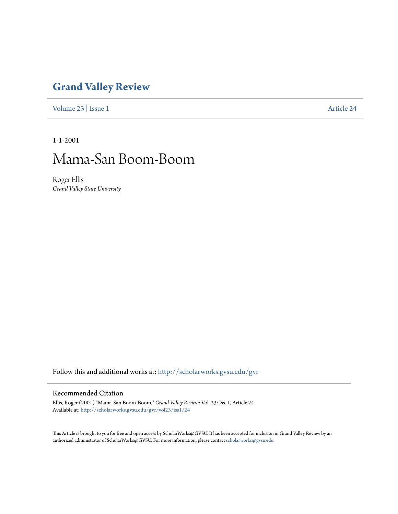## **[Grand Valley Review](http://scholarworks.gvsu.edu/gvr?utm_source=scholarworks.gvsu.edu%2Fgvr%2Fvol23%2Fiss1%2F24&utm_medium=PDF&utm_campaign=PDFCoverPages)**

[Volume 23](http://scholarworks.gvsu.edu/gvr/vol23?utm_source=scholarworks.gvsu.edu%2Fgvr%2Fvol23%2Fiss1%2F24&utm_medium=PDF&utm_campaign=PDFCoverPages) | [Issue 1](http://scholarworks.gvsu.edu/gvr/vol23/iss1?utm_source=scholarworks.gvsu.edu%2Fgvr%2Fvol23%2Fiss1%2F24&utm_medium=PDF&utm_campaign=PDFCoverPages) [Article 24](http://scholarworks.gvsu.edu/gvr/vol23/iss1/24?utm_source=scholarworks.gvsu.edu%2Fgvr%2Fvol23%2Fiss1%2F24&utm_medium=PDF&utm_campaign=PDFCoverPages)

1-1-2001

## Mama-San Boom-Boom

Roger Ellis *Grand Valley State University*

Follow this and additional works at: [http://scholarworks.gvsu.edu/gvr](http://scholarworks.gvsu.edu/gvr?utm_source=scholarworks.gvsu.edu%2Fgvr%2Fvol23%2Fiss1%2F24&utm_medium=PDF&utm_campaign=PDFCoverPages)

## Recommended Citation

Ellis, Roger (2001) "Mama-San Boom-Boom," *Grand Valley Review*: Vol. 23: Iss. 1, Article 24. Available at: [http://scholarworks.gvsu.edu/gvr/vol23/iss1/24](http://scholarworks.gvsu.edu/gvr/vol23/iss1/24?utm_source=scholarworks.gvsu.edu%2Fgvr%2Fvol23%2Fiss1%2F24&utm_medium=PDF&utm_campaign=PDFCoverPages)

This Article is brought to you for free and open access by ScholarWorks@GVSU. It has been accepted for inclusion in Grand Valley Review by an authorized administrator of ScholarWorks@GVSU. For more information, please contact [scholarworks@gvsu.edu.](mailto:scholarworks@gvsu.edu)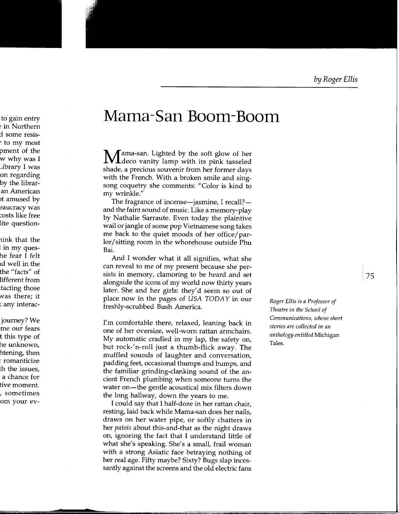## **Mama-San Boom-Boom**

Mama-san. Lighted by the soft glow of her deco vanity lamp with its pink tasseled shade, a precious souvenir from her former days with the French. With a broken smile and singsong coquetry she comments: "Color is kind to my wrinkle."

The fragrance of incense—jasmine, I recall? and the faint sound of music. Like a memory-play by Nathalie Sarraute. Even today the plaintive wail or jangle of some pop Vietnamese song takes me back to the quiet moods of her office/parlor/ sitting room in the whorehouse outside Phu Bai.

And I wonder what it all signifies, what she can reveal to me of my present because she persists in memory, clamoring to be heard and set alongside the icons of my world now thirty years later. She and her girls: they'd seem so out of place now in the pages of USA TODAY in our freshly-scrubbed Bush America.

I'm comfortable there, relaxed, leaning back in one of her oversize, well-worn rattan armchairs. My automatic cradled in my lap, the safety on, but rock-'n-roll just a thumb-flick away. The muffled sounds of laughter and conversation, padding feet, occasional thumps and bumps, and the familiar grinding-clanking sound of the ancient French plumbing when someone turns the water on—the gentle acoustical mix filters down the long hallway, down the years to me.

I could say that I half-doze in her rattan chair, resting, laid back while Mama-san does her nails, draws on her water pipe, or softly chatters in her *patois* about this-and-that as the night draws on, ignoring the fact that I understand little of what she's speaking. She's a small, frail woman with a strong Asiatic face betraying nothing of her real age. Fifty maybe? Sixty? Bugs slap incessantly against the screens and the old electric fans

*Roger Ellis* is *a Professor of Theatre in the School of Communications, whose short stories are collected in an anthology entitled* Michigan Tales.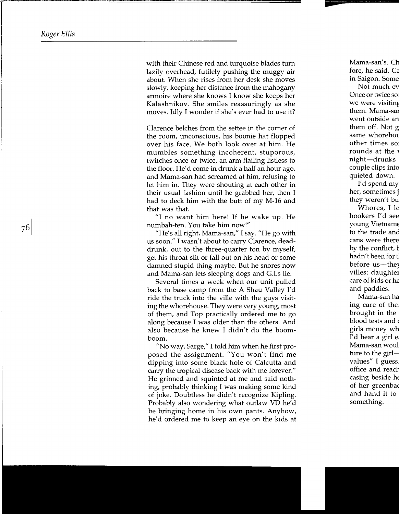with their Chinese red and turquoise blades turn lazily overhead, futilely pushing the muggy air about. When she rises from her desk she moves slowly, keeping her distance from the mahogany armoire where she knows I know she keeps her Kalashnikov. She smiles reassuringly as she moves. Idly I wonder if she's ever had to use it?

Clarence belches from the settee in the corner of the room, unconscious, his boonie hat flopped over his face. We both look over at him. He mumbles something incoherent, stuporous, twitches once or twice, an arm flailing listless to the floor. He'd come in drunk a half an hour ago, and Mama-san had screamed at him, refusing to let him in. They were shouting at each other in their usual fashion until he grabbed her, then I had to deck him with the butt of my M-16 and that was that.

"I no want him here! If he wake up. He numbah-ten. You take him now!"

"He's all right, Mama-san," I say. "He go with us soon." I wasn't about to carry Clarence, deaddrunk, out to the three-quarter ton by myself, get his throat slit or fall out on his head or some damned stupid thing maybe. But he snores now and Mama-san lets sleeping dogs and G.I.s lie.

Several times a week when our unit pulled back to base camp from the A Shau Valley I'd ride the truck into the ville with the guys visiting the whorehouse. They were very young, most of them, and Top practically ordered me to go along because I was older than the others. And also because he knew I didn't do the boomboom.

"No way, Sarge," I told him when he first proposed the assignment. "You won't find me dipping into some black hole of Calcutta and carry the tropical disease back with me forever." He grinned and squinted at me and said nothing, probably thinking I was making some kind of joke. Doubtless he didn't recognize Kipling. Probably also wondering what outlaw VD he'd be bringing home in his own pants. Anyhow, he'd ordered me to keep an eye on the kids at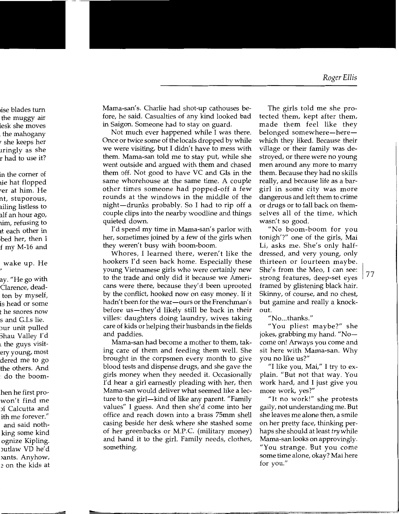Mama-san's. Charlie had shot-up cathouses before, he said. Casualties of any kind looked bad in Saigon. Someone had to stay on guard.

Not much ever happened while I was there. Once or twice some of the locals dropped by while we were visiting, but I didn't have to mess with them. Mama-san told me to stay put, while she went outside and argued with them and chased them off. Not good to have VC and Cis in the same whorehouse at the same time. A couple other times someone had popped-off a few rounds at the windows in the middle of the night-drunks probably. So I had to rip off a couple clips into the nearby woodline and things quieted down.

I'd spend my time in Mama-san's parlor with her, sometimes joined by a few of the girls when they weren't busy with boom-boom.

Whores, I learned there, weren't like the hookers I'd seen back home. Especially these young Vietnamese girls who were certainly new to the trade and only did it because we Americans were there, because they'd been uprooted by the conflict, hooked now on easy money. If it hadn't been for the war-ours or the Frenchman's before us—they'd likely still be back in their villes: daughters doing laundry, wives taking care of kids or helping their husbands in the fields and paddies.

Mama-san had become a mother to them, taking care of them and feeding them well. She brought in the corpsmen every month to give blood tests and dispense drugs, and she gave the girls money when they needed it. Occasionally I'd hear a girl earnestly pleading with her, then Mama-san would deliver what seemed like a lecture to the girl-kind of like any parent. "Family values" I guess. And then she'd come into her office and reach down into a brass 75mm shell casing beside her desk where she stashed some of her greenbacks or M.P.C. (military money) and hand it to the girl. Family needs, clothes, something.

The girls told me she protected them, kept after them, made them feel like they belonged somewhere—here which they liked. Because their village or their family was destroyed, or there were no young men around any more to marry them. Because they had no skills really, and because life as a bargirl in some city was more dangerous and left them to crime or drugs or to fall back on themselves all of the time, which wasn't so good.

"No boom-boom for you tonigh'?" one of the girls, Mai Li, asks me. She's only halfdressed, and very young, only thirteen or fourteen maybe. She's from the Meo, I can see: strong features, deep-set eyes framed by glistening black hair. Skinny, of course, and no chest, but gamine and really a knockout.

"No ... thanks."

"You pliest maybe?" she jokes, grabbing my hand. "No come on! Arways you come and sit here with Mama-san. Why you no like us?"

"I like you, Mai," I try to explain. "But not that way. You work hard, and I just give you more work, yes?"

"It no work!" she protests gaily, not understanding me. But she leaves me alone then, a smile on her pretty face, thinking perhaps she should at least *try* while Mama-san looks on approvingly. "You strange. But you come some time alone, okay? Mai here for you."

1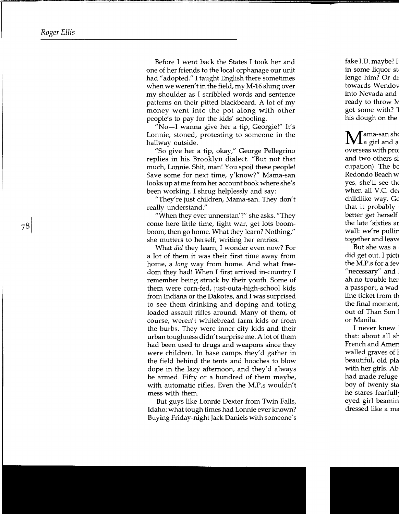Before I went back the States I took her and one of her friends to the local orphanage our unit had "adopted." I taught English there sometimes when we weren't in the field, my M-16 slung over my shoulder as I scribbled words and sentence patterns on their pitted blackboard. A lot of my money went into the pot along with other people's to pay for the kids' schooling.

"No-I wanna give her a tip, Georgie!" It's Lonnie, stoned, protesting to someone in the hallway outside.

"So give her a tip, okay," George Pellegrino replies in his Brooklyn dialect. "But not that much, Lonnie. Shit, man! You spoil these people! Save some for next time, y'know?" Mama-san looks up at me from her account book where she's been working. I shrug helplessly and say:

"They're just children, Mama-san. They don't really understand."

"When they ever unnerstan'?" she asks. "They come here little time, fight war, get lots boomboom, then go home. What they learn? Nothing," she mutters to herself, writing her entries.

What did they learn, I wonder even now? For a lot of them it was their first time away from home, a *long* way from home. And what freedom they had! When I first arrived in-country I remember being struck by their youth. Some of them were corn-fed, just-outa-high-school kids from Indiana or the Dakotas, and I was surprised to see them drinking and doping and toting loaded assault rifles around. Many of them, of course, weren't whitebread farm kids or from the burbs. They were inner city kids and their urban toughness didn't surprise me. A lot of them had been used to drugs and weapons since they were children. In base camps they'd gather in the field behind the tents and hooches to blow dope in the lazy afternoon, and they'd always be armed. Fifty or a hundred of them maybe, with automatic rifles. Even the M.P.s wouldn't mess with them.

But guys like Lonnie Dexter from Twin Falls, Idaho: what tough times had Lonnie ever known? Buying Friday-night Jack Daniels with someone' s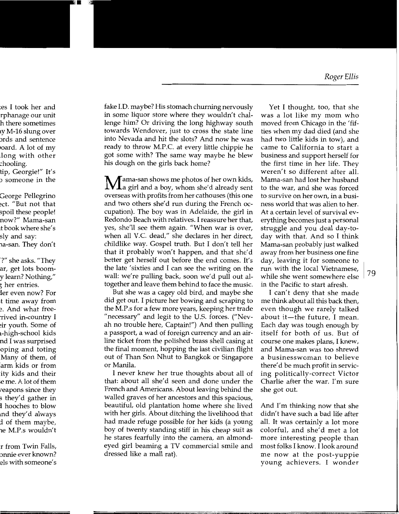fake I.D. maybe? His stomach churning nervously Yet I thought, too, that she in some liquor store where they wouldn't chal- was a lot like my mom who lenge him? Or driving the long highway south moved from Chicago in the 'fiftowards Wendover, just to cross the state line ties when my dad died (and she into Nevada and hit the slots? And now he was had two little kids in tow), and ready to throw M.P.C. at every little chippie he came to California to start a got some with? The same way maybe he blew business and support herself for his dough on the girls back home? the first time in her life. They

Jama-san shows me photos of her own kids, Mama-san had lost her husband **VL** a girl and a boy, whom she'd already sent to the war, and she was forced overseas with profits from her cathouses (this one to survive on her own, in a busiand two others she'd run during the French oc- ness world that was alien to her. cupation). The boy was in Adelaide, the girl in At a certain level of survival ev-Redondo Beach with relatives. I reassure her that, erything becomes just a personal yes, she'll see them again. "When war is over, struggle and you deal day-towhen all V.C. dead," she declares in her direct, day with that. And so I think childlike way. Gospel truth. But I don't tell her Mama-san probably just walked that it probably won't happen, and that she'd away from her business one fine better get herself out before the end comes. It's day, leaving it for someone to the late 'sixties and I can see the writing on the run with the local Vietnamese, wall: we're pulling back, soon we'd pull out al- while she went somewhere else 79 together and leave them behind to face the music. in the Pacific to start afresh.

But she was a cagey old bird, and maybe she I can't deny that she made did get out. I picture her bowing and scraping to me think about all this back then, the M.P.s for a few more years, keeping her trade even though we rarely talked "necessary" and legit to the U.S. forces. ("Nev- about it-the future, I mean. ah no trouble here, Captain!") And then pulling Each day was tough enough by a passport, a wad of foreign currency and an air- itself for both of us. But of line ticket from the polished brass shell casing at  $\;$  course one makes plans, I knew, the final moment, hopping the last civilian flight and Mama-san was too shrewd out of Than Son Nhut to Bangkok or Singapore a businesswoman to believe arm kids or from or Manila. there'd be much profit in servic-

I never knew her true thoughts about all of ing politically-correct Victor that: about all she'd seen and done under the Charlie after the war. I'm sure French and Americans. About leaving behind the she got out. walled graves of her ancestors and this spacious, beautiful, old plantation home where she lived And I'm thinking now that she with her girls. About ditching the livelihood that didn't have such a bad life after had made refuge possible for her kids (a young all. It was certainly a lot more boy of twenty standing stiff in his cheap suit as colorful, and she'd met a lot he stares fearfully into the camera, an almond- more interesting people than eyed girl beaming a TV commercial smile and most folks I know. I look around dressed like a mall rat).<br>The now at the post-yuppie

weren't so different after all.

me now at the post-yuppie young achievers. I wonder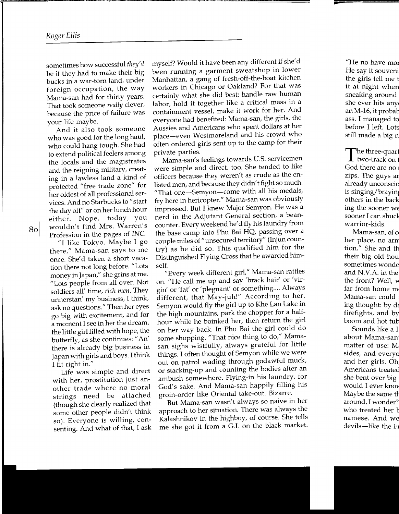sometimes how successful *they'd*  be if they had to make their big bucks in a war-torn land, under foreign occupation, the way Mama-san had for thirty years. That took someone *really* clever, because the price of failure was your life maybe.

And it also took someone who was good for the long haul, who could hang tough. She had to extend political feelers among the locals and the magistrates and the reigning military, creating in a lawless land a kind of protected "free trade zone" for her oldest of all professional services. And no Starbucks to "start the day off" or on her lunch hour either. Nope, today you wouldn't find Mrs. Warren's Profession in the pages of *INC.* 

"I like Tokyo. Maybe I go there," Mama-san says to me once. She'd taken a short vacation there not long before. "Lots money in Japan," she grins at me. "Lots people from all over. Not soldiers all' time, *rich men.* They unnerstan' my business, I think, ask no questions." Then her eyes go big with excitement, and for a moment I see in her the dream, the little girl filled with hope, the butterfly, as she continues: "An' there is already big business in Japan with girls and boys. I think I fit right in."

Life was simple and direct with her, prostitution just another trade where no moral strings need be attached (though she clearly realized that some other people didn't think so). Everyone is willing, consenting. And what of that, I ask

myself? Would it have been any different if she'd been running a garment sweatshop in lower Manhattan, a gang of fresh-off-the-boat kitchen workers in Chicago or Oakland? For that was certainly what she did best: handle raw human labor, hold it together like a critical mass in a containment vessel, make it work for her. And everyone had benefited: Mama-san, the girls, the Aussies and Americans who spent dollars at her place-even Westmoreland and his crowd who often ordered girls sent up to the camp for their private parties.

Mama-san's feelings towards U.S. servicemen were simple and direct, too. She tended to like officers because they weren't as crude as the enlisted men, and because they didn't fight so much. "That one-Semyon-come with all his medals, fry here in hericopter." Mama-san was obviously impressed. But I knew Major Semyon. He was a nerd in the Adjutant General section, a beancounter. Every weekend he'd fly his laundry from the base camp into Phu Bai HQ, passing over a couple miles of "unsecured territory" (Injun country) as he did so. This qualified him for the Distinguished Flying Cross that he awarded himself.

"Every week different girl," Mama-san rattles on. "He call me up and say 'brack hair' or 'virgin' or 'fat' or 'plegnant' or something.... Always different, that May-juh!" According to her, Semyon would fly the girl up to Khe Lan Lake in the high mountains, park the chopper for a halfhour while he boinked her, then return the girl on her way back. In Phu Bai the girl could do some shopping. "That nice thing to do," Mamasan sighs wistfully, always grateful for little things. I often thought of Semyon while we were out on patrol wading through godawful muck, or stacking-up and counting the bodies after an ambush somewhere. Flying-in his laundry, for God's sake. And Mama-san happily filling his groin-order like Oriental take-out. Bizarre.

But Mama-san wasn't always so naive in her approach to her situation. There was always the Kalashnikov in the highboy, of course. She tells me she got it from a G.I. on the black market.